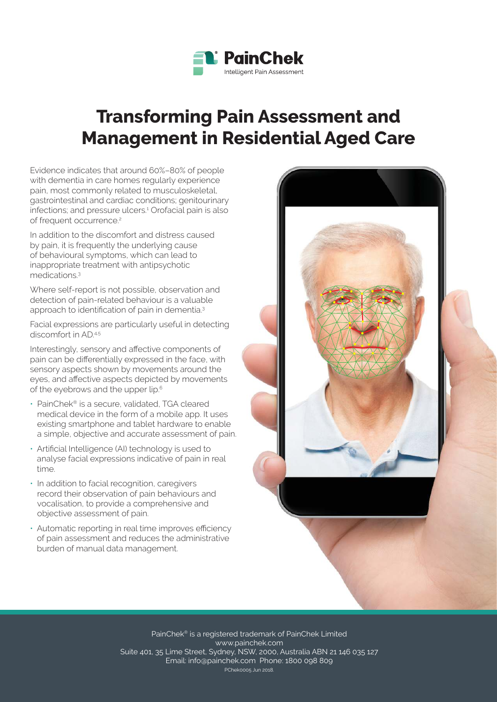

# **Transforming Pain Assessment and Management in Residential Aged Care**

Evidence indicates that around 60%–80% of people with dementia in care homes regularly experience pain, most commonly related to musculoskeletal, gastrointestinal and cardiac conditions; genitourinary infections; and pressure ulcers.<sup>1</sup> Orofacial pain is also of frequent occurrence.<sup>2</sup>

In addition to the discomfort and distress caused by pain, it is frequently the underlying cause of behavioural symptoms, which can lead to inappropriate treatment with antipsychotic medications.<sup>3</sup>

Where self-report is not possible, observation and detection of pain-related behaviour is a valuable approach to identification of pain in dementia.<sup>3</sup>

Facial expressions are particularly useful in detecting discomfort in  $AD^{4.5}$ 

Interestingly, sensory and affective components of pain can be differentially expressed in the face, with sensory aspects shown by movements around the eyes, and affective aspects depicted by movements of the eyebrows and the upper lip.<sup>6</sup>

- PainChek® is a secure, validated, TGA cleared medical device in the form of a mobile app. It uses existing smartphone and tablet hardware to enable a simple, objective and accurate assessment of pain.
- Artificial Intelligence (AI) technology is used to analyse facial expressions indicative of pain in real time.
- In addition to facial recognition, caregivers record their observation of pain behaviours and vocalisation, to provide a comprehensive and objective assessment of pain.
- Automatic reporting in real time improves efficiency of pain assessment and reduces the administrative burden of manual data management.



PainChek® is a registered trademark of PainChek Limited www.painchek.com Suite 401, 35 Lime Street, Sydney, NSW, 2000, Australia ABN 21 146 035 127 Email: info@painchek.com Phone: 1800 098 809 PChek0005 Jun 2018.